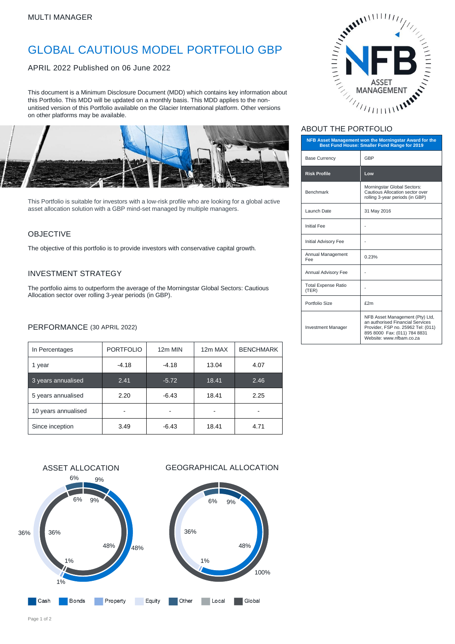# GLOBAL CAUTIOUS MODEL PORTFOLIO GBP

APRIL 2022 Published on 06 June 2022

This document is a Minimum Disclosure Document (MDD) which contains key information about this Portfolio. This MDD will be updated on a monthly basis. This MDD applies to the nonunitised version of this Portfolio available on the Glacier International platform. Other versions on other platforms may be available.



This Portfolio is suitable for investors with a low-risk profile who are looking for a global active asset allocation solution with a GBP mind-set managed by multiple managers.

### OBJECTIVE

The objective of this portfolio is to provide investors with conservative capital growth.

### INVESTMENT STRATEGY

The portfolio aims to outperform the average of the Morningstar Global Sectors: Cautious Allocation sector over rolling 3-year periods (in GBP).

### PERFORMANCE (30 APRIL 2022)

| In Percentages      | <b>PORTFOLIO</b> | 12m MIN | 12m MAX | <b>BENCHMARK</b> |
|---------------------|------------------|---------|---------|------------------|
| 1 year              | $-4.18$          | $-4.18$ | 13.04   | 4.07             |
| 3 years annualised  | 2.41             | $-5.72$ | 18.41   | 2.46             |
| 5 years annualised  | 2.20             | $-6.43$ | 18.41   | 2.25             |
| 10 years annualised |                  |         |         |                  |
| Since inception     | 3.49             | $-6.43$ | 18.41   | 4.71             |





### ABOUT THE PORTFOLIO

| NFB Asset Management won the Morningstar Award for the<br>Best Fund House: Smaller Fund Range for 2019 |                                                                                                                                                                       |  |  |
|--------------------------------------------------------------------------------------------------------|-----------------------------------------------------------------------------------------------------------------------------------------------------------------------|--|--|
| <b>Base Currency</b>                                                                                   | GBP                                                                                                                                                                   |  |  |
| <b>Risk Profile</b>                                                                                    | Low                                                                                                                                                                   |  |  |
| <b>Benchmark</b>                                                                                       | Morningstar Global Sectors:<br>Cautious Allocation sector over<br>rolling 3-year periods (in GBP)                                                                     |  |  |
| Launch Date                                                                                            | 31 May 2016                                                                                                                                                           |  |  |
| <b>Initial Fee</b>                                                                                     |                                                                                                                                                                       |  |  |
| <b>Initial Advisory Fee</b>                                                                            |                                                                                                                                                                       |  |  |
| Annual Management<br>Fee                                                                               | 0.23%                                                                                                                                                                 |  |  |
| Annual Advisory Fee                                                                                    |                                                                                                                                                                       |  |  |
| <b>Total Expense Ratio</b><br>(TER)                                                                    |                                                                                                                                                                       |  |  |
| Portfolio Size                                                                                         | £2m                                                                                                                                                                   |  |  |
| <b>Investment Manager</b>                                                                              | NFB Asset Management (Pty) Ltd,<br>an authorised Financial Services<br>Provider, FSP no. 25962 Tel: (011)<br>895 8000 Fax: (011) 784 8831<br>Website: www.nfbam.co.za |  |  |